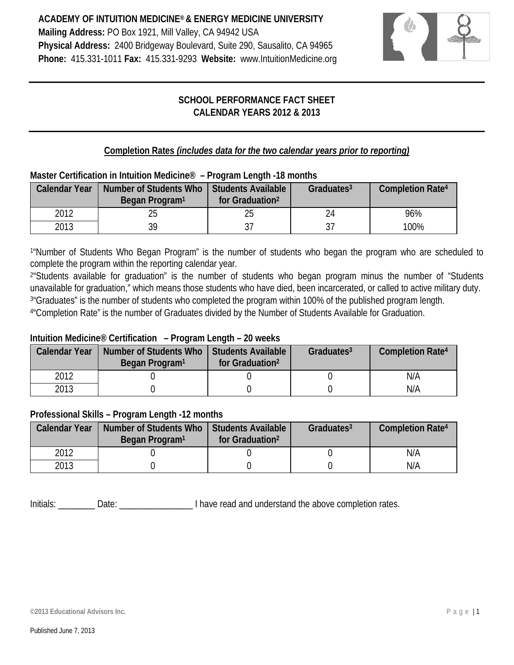

# **SCHOOL PERFORMANCE FACT SHEET CALENDAR YEARS 2012 & 2013**

# **Completion Rates** *(includes data for the two calendar years prior to reporting)*

#### **Master Certification in Intuition Medicine® – Program Length -18 months**

| <b>Calendar Year</b> | Number of Students Who<br>Began Program <sup>1</sup> | Students Available<br>for Graduation <sup>2</sup> | Graduates $3$ | <b>Completion Rate4</b> |
|----------------------|------------------------------------------------------|---------------------------------------------------|---------------|-------------------------|
| 2012                 |                                                      | 25                                                | 24            | 96%                     |
| 2013                 | 30                                                   | າ=                                                | 37            | 100%                    |

<sup>1</sup>"Number of Students Who Began Program" is the number of students who began the program who are scheduled to complete the program within the reporting calendar year.

<sup>2</sup>"Students available for graduation" is the number of students who began program minus the number of "Students unavailable for graduation," which means those students who have died, been incarcerated, or called to active military duty. 3"Graduates" is the number of students who completed the program within 100% of the published program length.

4"Completion Rate" is the number of Graduates divided by the Number of Students Available for Graduation.

## **Intuition Medicine® Certification – Program Length – 20 weeks**

| <b>Calendar Year</b> | Number of Students Who<br>Began Program <sup>1</sup> | <b>Students Available</b><br>for Graduation <sup>2</sup> | Graduates $3$ | <b>Completion Rate4</b> |
|----------------------|------------------------------------------------------|----------------------------------------------------------|---------------|-------------------------|
| 2012                 |                                                      |                                                          |               | N/A                     |
| 2013                 |                                                      |                                                          |               | N/A                     |

## **Professional Skills – Program Length -12 months**

| <b>Calendar Year</b> | Number of Students Who<br>Began Program <sup>1</sup> | Students Available<br>for Graduation <sup>2</sup> | Graduates <sup>3</sup> | <b>Completion Rate4</b> |
|----------------------|------------------------------------------------------|---------------------------------------------------|------------------------|-------------------------|
| 2012                 |                                                      |                                                   |                        | N/A                     |
| 2013                 |                                                      |                                                   |                        | N/A                     |

Initials: \_\_\_\_\_\_\_\_ Date: \_\_\_\_\_\_\_\_\_\_\_\_\_\_\_\_ I have read and understand the above completion rates.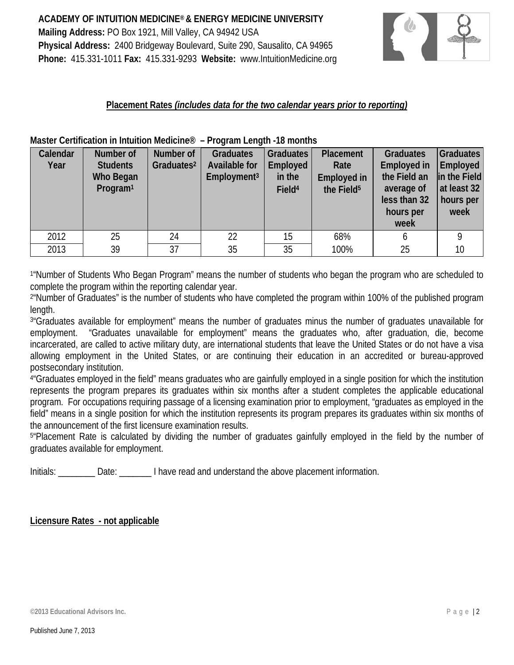

#### **Placement Rates** *(includes data for the two calendar years prior to reporting)*

|          |                      |                        | 1.1                     |                    |                        |                    |                  |
|----------|----------------------|------------------------|-------------------------|--------------------|------------------------|--------------------|------------------|
| Calendar | Number of            | Number of              | <b>Graduates</b>        | <b>Graduates</b>   | Placement              | <b>Graduates</b>   | <b>Graduates</b> |
| Year     | <b>Students</b>      | Graduates <sup>2</sup> | Available for           | Employed           | Rate                   | <b>Employed in</b> | Employed         |
|          | Who Began            |                        | Employment <sup>3</sup> | in the             | <b>Employed in</b>     | the Field an       | in the Field     |
|          | Program <sup>1</sup> |                        |                         | Field <sup>4</sup> | the Field <sup>5</sup> | average of         | at least 32      |
|          |                      |                        |                         |                    |                        | less than 32       | hours per        |
|          |                      |                        |                         |                    |                        | hours per          | week             |
|          |                      |                        |                         |                    |                        | week               |                  |
| 2012     | 25                   | 24                     | 22                      | 15                 | 68%                    |                    | 0                |
| 2013     | 39                   | 37                     | 35                      | 35                 | 100%                   | 25                 | 10               |

**Master Certification in Intuition Medicine® – Program Length -18 months**

1"Number of Students Who Began Program" means the number of students who began the program who are scheduled to complete the program within the reporting calendar year.

2"Number of Graduates" is the number of students who have completed the program within 100% of the published program length.

3"Graduates available for employment" means the number of graduates minus the number of graduates unavailable for employment. "Graduates unavailable for employment" means the graduates who, after graduation, die, become incarcerated, are called to active military duty, are international students that leave the United States or do not have a visa allowing employment in the United States, or are continuing their education in an accredited or bureau-approved postsecondary institution.

4"Graduates employed in the field" means graduates who are gainfully employed in a single position for which the institution represents the program prepares its graduates within six months after a student completes the applicable educational program. For occupations requiring passage of a licensing examination prior to employment, "graduates as employed in the field" means in a single position for which the institution represents its program prepares its graduates within six months of the announcement of the first licensure examination results.

5"Placement Rate is calculated by dividing the number of graduates gainfully employed in the field by the number of graduates available for employment.

Initials: Date: Date: I have read and understand the above placement information.

#### **Licensure Rates - not applicable**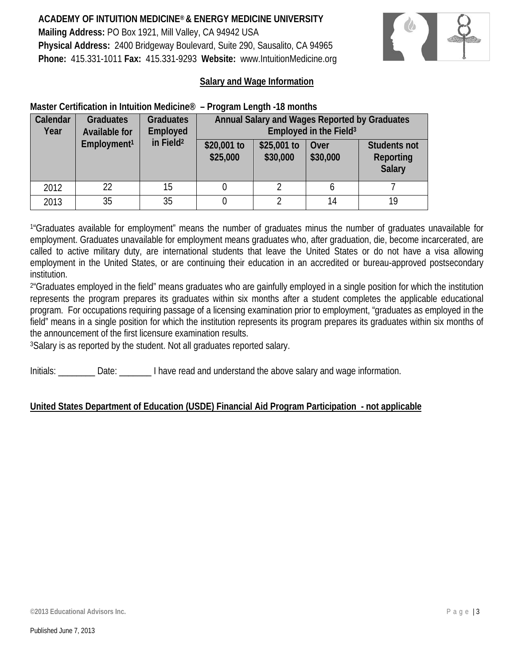

#### **Salary and Wage Information**

#### **Master Certification in Intuition Medicine® – Program Length -18 months**

| Calendar<br>Year | <b>Graduates</b><br>Available for | <b>Graduates</b><br><b>Employed</b> |                                                                                                                             |  | Employed in the Field <sup>3</sup> | Annual Salary and Wages Reported by Graduates |  |
|------------------|-----------------------------------|-------------------------------------|-----------------------------------------------------------------------------------------------------------------------------|--|------------------------------------|-----------------------------------------------|--|
|                  | Employment <sup>1</sup>           | in Field <sup>2</sup>               | \$25,001 to<br>\$20,001 to<br><b>Students not</b><br>Over<br>\$25,000<br>\$30,000<br>\$30,000<br>Reporting<br><b>Salary</b> |  |                                    |                                               |  |
| 2012             | 22                                | 15                                  |                                                                                                                             |  |                                    |                                               |  |
| 2013             | 35                                | 14                                  | 19                                                                                                                          |  |                                    |                                               |  |

1"Graduates available for employment" means the number of graduates minus the number of graduates unavailable for employment. Graduates unavailable for employment means graduates who, after graduation, die, become incarcerated, are called to active military duty, are international students that leave the United States or do not have a visa allowing employment in the United States, or are continuing their education in an accredited or bureau-approved postsecondary institution.

<sup>2</sup>"Graduates employed in the field" means graduates who are gainfully employed in a single position for which the institution represents the program prepares its graduates within six months after a student completes the applicable educational program. For occupations requiring passage of a licensing examination prior to employment, "graduates as employed in the field" means in a single position for which the institution represents its program prepares its graduates within six months of the announcement of the first licensure examination results.

3Salary is as reported by the student. Not all graduates reported salary.

Initials: Date: Date: I have read and understand the above salary and wage information.

## **United States Department of Education (USDE) Financial Aid Program Participation - not applicable**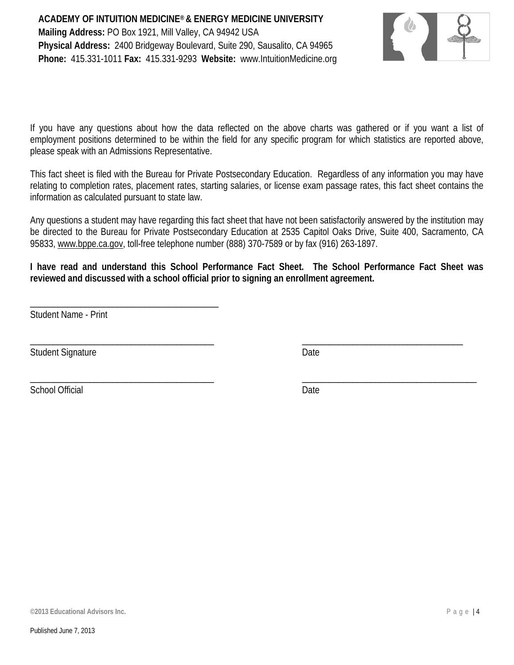

If you have any questions about how the data reflected on the above charts was gathered or if you want a list of employment positions determined to be within the field for any specific program for which statistics are reported above, please speak with an Admissions Representative.

This fact sheet is filed with the Bureau for Private Postsecondary Education. Regardless of any information you may have relating to completion rates, placement rates, starting salaries, or license exam passage rates, this fact sheet contains the information as calculated pursuant to state law.

Any questions a student may have regarding this fact sheet that have not been satisfactorily answered by the institution may be directed to the Bureau for Private Postsecondary Education at 2535 Capitol Oaks Drive, Suite 400, Sacramento, CA 95833, [www.bppe.ca.gov,](http://www.bppe.ca.gov/) toll-free telephone number (888) 370-7589 or by fax (916) 263-1897.

**I have read and understand this School Performance Fact Sheet. The School Performance Fact Sheet was reviewed and discussed with a school official prior to signing an enrollment agreement.**

\_\_\_\_\_\_\_\_\_\_\_\_\_\_\_\_\_\_\_\_\_\_\_\_\_\_\_\_\_\_\_\_\_\_\_\_\_\_\_\_ \_\_\_\_\_\_\_\_\_\_\_\_\_\_\_\_\_\_\_\_\_\_\_\_\_\_\_\_\_\_\_\_\_\_\_

\_\_\_\_\_\_\_\_\_\_\_\_\_\_\_\_\_\_\_\_\_\_\_\_\_\_\_\_\_\_\_\_\_\_\_\_\_\_\_\_ \_\_\_\_\_\_\_\_\_\_\_\_\_\_\_\_\_\_\_\_\_\_\_\_\_\_\_\_\_\_\_\_\_\_\_\_\_\_

Student Name - Print

\_\_\_\_\_\_\_\_\_\_\_\_\_\_\_\_\_\_\_\_\_\_\_\_\_\_\_\_\_\_\_\_\_\_\_\_\_\_\_\_\_

Student Signature Date

School Official Date Date Date Date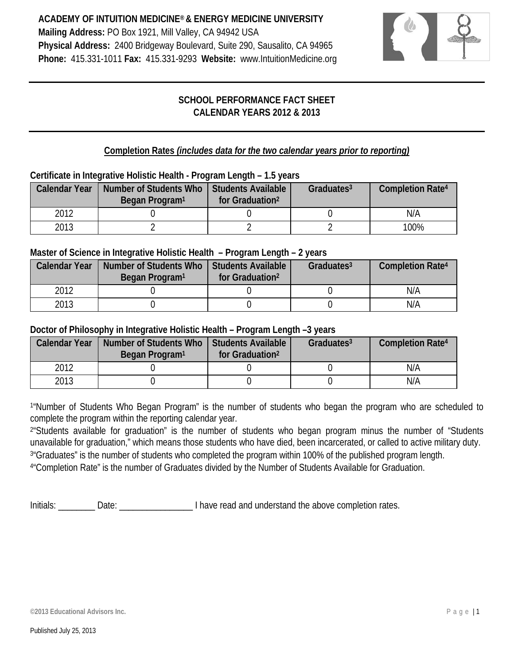

# **SCHOOL PERFORMANCE FACT SHEET CALENDAR YEARS 2012 & 2013**

**Completion Rates** *(includes data for the two calendar years prior to reporting)*

## **Certificate in Integrative Holistic Health - Program Length – 1.5 years**

| <b>Calendar Year</b> | Number of Students Who<br>Began Program <sup>1</sup> | Students Available<br>for Graduation <sup>2</sup> | Graduates <sup>3</sup> | <b>Completion Rate4</b> |
|----------------------|------------------------------------------------------|---------------------------------------------------|------------------------|-------------------------|
| 2012                 |                                                      |                                                   |                        | N/A                     |
| 2013                 |                                                      |                                                   |                        | 100%                    |

#### **Master of Science in Integrative Holistic Health – Program Length – 2 years**

| <b>Calendar Year</b> | Number of Students Who<br>Began Program <sup>1</sup> | l Students Available<br>for Graduation <sup>2</sup> | Graduates <sup>3</sup> | <b>Completion Rate4</b> |
|----------------------|------------------------------------------------------|-----------------------------------------------------|------------------------|-------------------------|
| 2012                 |                                                      |                                                     |                        | N/A                     |
| 2013                 |                                                      |                                                     |                        | N/A                     |

## **Doctor of Philosophy in Integrative Holistic Health – Program Length –3 years**

| <b>Calendar Year</b> | Number of Students Who   Students Available<br>Began Program <sup>1</sup> | for Graduation <sup>2</sup> | Graduates $3$ | <b>Completion Rate4</b> |
|----------------------|---------------------------------------------------------------------------|-----------------------------|---------------|-------------------------|
| 2012                 |                                                                           |                             |               | N/A                     |
| 2013                 |                                                                           |                             |               | N/A                     |

<sup>1</sup>"Number of Students Who Began Program" is the number of students who began the program who are scheduled to complete the program within the reporting calendar year.

2"Students available for graduation" is the number of students who began program minus the number of "Students unavailable for graduation," which means those students who have died, been incarcerated, or called to active military duty. 3"Graduates" is the number of students who completed the program within 100% of the published program length. 4"Completion Rate" is the number of Graduates divided by the Number of Students Available for Graduation.

Initials: \_\_\_\_\_\_\_\_ Date: \_\_\_\_\_\_\_\_\_\_\_\_\_\_\_\_ I have read and understand the above completion rates.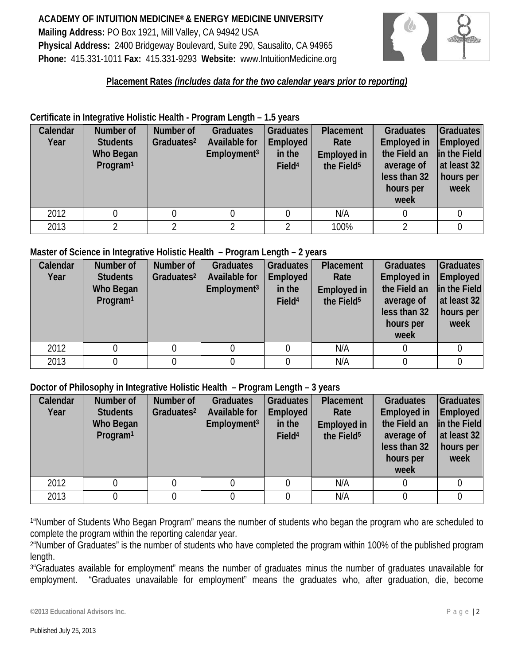

## **Placement Rates** *(includes data for the two calendar years prior to reporting)*

#### **Certificate in Integrative Holistic Health - Program Length – 1.5 years**

| Calendar<br>Year | Number of<br><b>Students</b><br>Who Began<br>Program <sup>1</sup> | Number of<br>Graduates <sup>2</sup> | <b>Graduates</b><br><b>Available for</b><br>Employment <sup>3</sup> | <b>Graduates</b><br>Employed<br>in the<br>Field <sup>4</sup> | Placement<br>Rate<br><b>Employed in</b><br>the Field <sup>5</sup> | <b>Graduates</b><br><b>Employed in</b><br>the Field an<br>average of<br>less than 32<br>hours per<br>week | Graduates<br>Employed<br>in the Field<br>at least 32<br>hours per<br>week |
|------------------|-------------------------------------------------------------------|-------------------------------------|---------------------------------------------------------------------|--------------------------------------------------------------|-------------------------------------------------------------------|-----------------------------------------------------------------------------------------------------------|---------------------------------------------------------------------------|
| 2012             |                                                                   |                                     |                                                                     |                                                              | N/A                                                               |                                                                                                           |                                                                           |
| 2013             |                                                                   |                                     |                                                                     |                                                              | 100%                                                              |                                                                                                           |                                                                           |

#### **Master of Science in Integrative Holistic Health – Program Length – 2 years**

| Calendar | Number of            | Number of              | <b>Graduates</b>        | <b>Graduates</b>   | Placement              | <b>Graduates</b>   | Graduates    |
|----------|----------------------|------------------------|-------------------------|--------------------|------------------------|--------------------|--------------|
| Year     | <b>Students</b>      | Graduates <sup>2</sup> | Available for           | Employed           | Rate                   | <b>Employed in</b> | Employed     |
|          | Who Began            |                        | Employment <sup>3</sup> | in the             | <b>Employed in</b>     | the Field an       | in the Field |
|          | Program <sup>1</sup> |                        |                         | Field <sup>4</sup> | the Field <sup>5</sup> | average of         | at least 32  |
|          |                      |                        |                         |                    |                        | less than 32       | hours per    |
|          |                      |                        |                         |                    |                        | hours per          | week         |
|          |                      |                        |                         |                    |                        | week               |              |
| 2012     |                      |                        |                         |                    | N/A                    |                    |              |
| 2013     |                      |                        |                         |                    | N/A                    |                    |              |

#### **Doctor of Philosophy in Integrative Holistic Health – Program Length – 3 years**

| Calendar<br>Year | Number of<br><b>Students</b><br>Who Began<br>Program <sup>1</sup> | Number of<br>Graduates <sup>2</sup> | <b>Graduates</b><br><b>Available for</b><br>Employment <sup>3</sup> | <b>Graduates</b><br>Employed<br>in the<br>Field <sup>4</sup> | Placement<br>Rate<br><b>Employed in</b><br>the Field <sup>5</sup> | <b>Graduates</b><br><b>Employed in</b><br>the Field an<br>average of<br>less than 32<br>hours per<br>week | Graduates<br><b>Employed</b><br>in the Field<br>at least 32<br>hours per<br>week |
|------------------|-------------------------------------------------------------------|-------------------------------------|---------------------------------------------------------------------|--------------------------------------------------------------|-------------------------------------------------------------------|-----------------------------------------------------------------------------------------------------------|----------------------------------------------------------------------------------|
| 2012             |                                                                   |                                     |                                                                     |                                                              | N/A                                                               |                                                                                                           |                                                                                  |
| 2013             |                                                                   |                                     |                                                                     |                                                              | N/A                                                               |                                                                                                           |                                                                                  |

<sup>1</sup>"Number of Students Who Began Program" means the number of students who began the program who are scheduled to complete the program within the reporting calendar year.

2"Number of Graduates" is the number of students who have completed the program within 100% of the published program length.

3"Graduates available for employment" means the number of graduates minus the number of graduates unavailable for employment. "Graduates unavailable for employment" means the graduates who, after graduation, die, become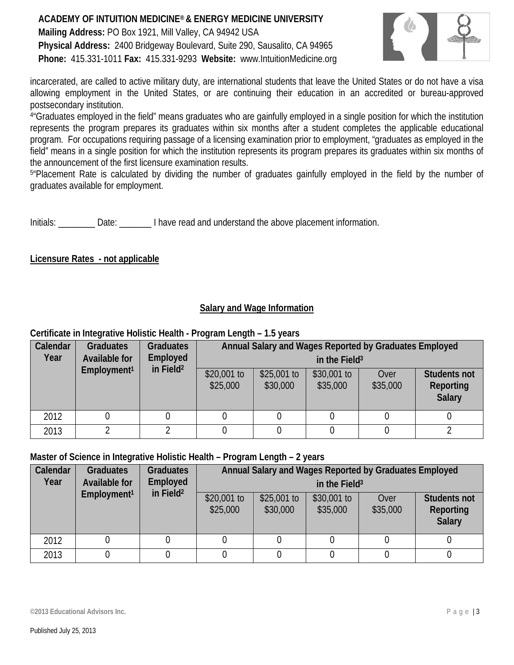

incarcerated, are called to active military duty, are international students that leave the United States or do not have a visa allowing employment in the United States, or are continuing their education in an accredited or bureau-approved postsecondary institution.

4"Graduates employed in the field" means graduates who are gainfully employed in a single position for which the institution represents the program prepares its graduates within six months after a student completes the applicable educational program. For occupations requiring passage of a licensing examination prior to employment, "graduates as employed in the field" means in a single position for which the institution represents its program prepares its graduates within six months of the announcement of the first licensure examination results.

5"Placement Rate is calculated by dividing the number of graduates gainfully employed in the field by the number of graduates available for employment.

Initials: Date: Date: I have read and understand the above placement information.

#### **Licensure Rates - not applicable**

# **Salary and Wage Information**

#### **Certificate in Integrative Holistic Health - Program Length – 1.5 years**

| Calendar<br>Year | <b>Graduates</b><br>Available for | <b>Graduates</b><br>Employed | Annual Salary and Wages Reported by Graduates Employed<br>in the Field <sup>3</sup> |                          |                         |                  |                                                          |
|------------------|-----------------------------------|------------------------------|-------------------------------------------------------------------------------------|--------------------------|-------------------------|------------------|----------------------------------------------------------|
|                  | Employment <sup>1</sup>           | in Field <sup>2</sup>        | $$20,001$ to<br>\$25,000                                                            | $$25,001$ to<br>\$30,000 | \$30,001 to<br>\$35,000 | Over<br>\$35,000 | <b>Students not</b><br><b>Reporting</b><br><b>Salary</b> |
| 2012             |                                   |                              |                                                                                     |                          |                         |                  |                                                          |
| 2013             |                                   |                              |                                                                                     |                          |                         |                  |                                                          |

## **Master of Science in Integrative Holistic Health – Program Length – 2 years**

| Calendar<br>Year | <b>Graduates</b><br>Available for<br>Employment <sup>1</sup> | <b>Graduates</b><br><b>Employed</b><br>in Field $2$ | Annual Salary and Wages Reported by Graduates Employed<br>in the Field <sup>3</sup> |                          |                          |                  |                                                   |
|------------------|--------------------------------------------------------------|-----------------------------------------------------|-------------------------------------------------------------------------------------|--------------------------|--------------------------|------------------|---------------------------------------------------|
|                  |                                                              |                                                     | $$20,001$ to<br>\$25,000                                                            | $$25,001$ to<br>\$30,000 | $$30,001$ to<br>\$35,000 | Over<br>\$35,000 | <b>Students not</b><br><b>Reporting</b><br>Salary |
| 2012             |                                                              |                                                     |                                                                                     |                          |                          |                  |                                                   |
| 2013             |                                                              |                                                     |                                                                                     |                          |                          |                  |                                                   |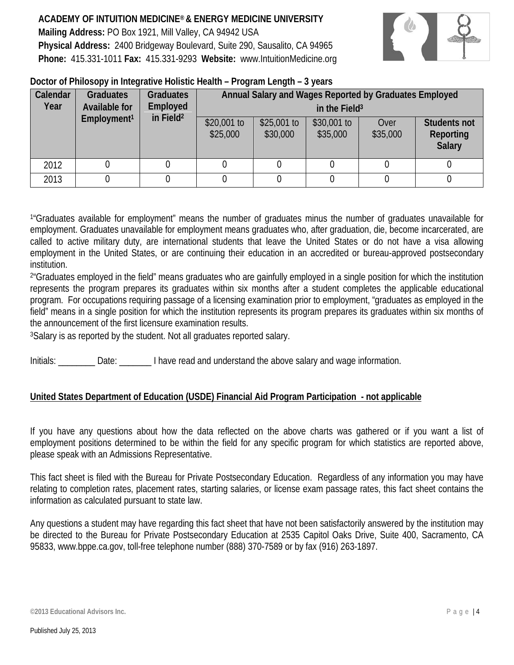

#### **Doctor of Philosopy in Integrative Holistic Health – Program Length – 3 years**

| Calendar<br>Year | <b>Graduates</b><br>Available for<br>Employment <sup>1</sup> | <b>Graduates</b><br>Employed<br>in Field <sup>2</sup> | Annual Salary and Wages Reported by Graduates Employed<br>in the Field <sup>3</sup> |                          |                         |                  |                                            |
|------------------|--------------------------------------------------------------|-------------------------------------------------------|-------------------------------------------------------------------------------------|--------------------------|-------------------------|------------------|--------------------------------------------|
|                  |                                                              |                                                       | $$20,001$ to<br>\$25,000                                                            | $$25,001$ to<br>\$30,000 | \$30,001 to<br>\$35,000 | Over<br>\$35,000 | <b>Students not</b><br>Reporting<br>Salary |
| 2012             |                                                              |                                                       |                                                                                     |                          |                         |                  |                                            |
| 2013             |                                                              |                                                       |                                                                                     |                          |                         |                  |                                            |

<sup>1</sup>"Graduates available for employment" means the number of graduates minus the number of graduates unavailable for employment. Graduates unavailable for employment means graduates who, after graduation, die, become incarcerated, are called to active military duty, are international students that leave the United States or do not have a visa allowing employment in the United States, or are continuing their education in an accredited or bureau-approved postsecondary institution.

<sup>2</sup>"Graduates employed in the field" means graduates who are gainfully employed in a single position for which the institution represents the program prepares its graduates within six months after a student completes the applicable educational program. For occupations requiring passage of a licensing examination prior to employment, "graduates as employed in the field" means in a single position for which the institution represents its program prepares its graduates within six months of the announcement of the first licensure examination results.

3Salary is as reported by the student. Not all graduates reported salary.

Initials:  $\Box$  Date:  $\Box$  I have read and understand the above salary and wage information.

## **United States Department of Education (USDE) Financial Aid Program Participation - not applicable**

If you have any questions about how the data reflected on the above charts was gathered or if you want a list of employment positions determined to be within the field for any specific program for which statistics are reported above, please speak with an Admissions Representative.

This fact sheet is filed with the Bureau for Private Postsecondary Education. Regardless of any information you may have relating to completion rates, placement rates, starting salaries, or license exam passage rates, this fact sheet contains the information as calculated pursuant to state law.

Any questions a student may have regarding this fact sheet that have not been satisfactorily answered by the institution may be directed to the Bureau for Private Postsecondary Education at 2535 Capitol Oaks Drive, Suite 400, Sacramento, CA 95833, [www.bppe.ca.gov,](http://www.bppe.ca.gov/) toll-free telephone number (888) 370-7589 or by fax (916) 263-1897.